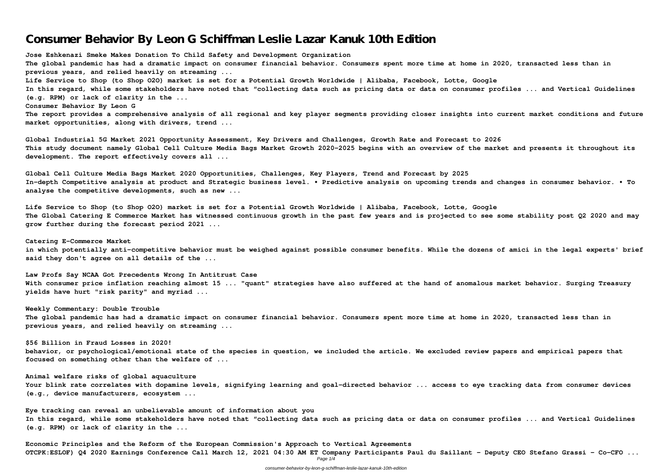# **Consumer Behavior By Leon G Schiffman Leslie Lazar Kanuk 10th Edition**

**Jose Eshkenazi Smeke Makes Donation To Child Safety and Development Organization The global pandemic has had a dramatic impact on consumer financial behavior. Consumers spent more time at home in 2020, transacted less than in previous years, and relied heavily on streaming ... Life Service to Shop (to Shop O2O) market is set for a Potential Growth Worldwide | Alibaba, Facebook, Lotte, Google In this regard, while some stakeholders have noted that "collecting data such as pricing data or data on consumer profiles ... and Vertical Guidelines (e.g. RPM) or lack of clarity in the ... Consumer Behavior By Leon G The report provides a comprehensive analysis of all regional and key player segments providing closer insights into current market conditions and future market opportunities, along with drivers, trend ...**

**Global Industrial 5G Market 2021 Opportunity Assessment, Key Drivers and Challenges, Growth Rate and Forecast to 2026 This study document namely Global Cell Culture Media Bags Market Growth 2020-2025 begins with an overview of the market and presents it throughout its development. The report effectively covers all ...**

**Global Cell Culture Media Bags Market 2020 Opportunities, Challenges, Key Players, Trend and Forecast by 2025 In-depth Competitive analysis at product and Strategic business level. • Predictive analysis on upcoming trends and changes in consumer behavior. • To analyse the competitive developments, such as new ...**

**Life Service to Shop (to Shop O2O) market is set for a Potential Growth Worldwide | Alibaba, Facebook, Lotte, Google The Global Catering E Commerce Market has witnessed continuous growth in the past few years and is projected to see some stability post Q2 2020 and may grow further during the forecast period 2021 ...**

**Catering E-Commerce Market in which potentially anti-competitive behavior must be weighed against possible consumer benefits. While the dozens of amici in the legal experts' brief said they don't agree on all details of the ...**

**Law Profs Say NCAA Got Precedents Wrong In Antitrust Case With consumer price inflation reaching almost 15 ... "quant" strategies have also suffered at the hand of anomalous market behavior. Surging Treasury yields have hurt "risk parity" and myriad ...**

**Weekly Commentary: Double Trouble The global pandemic has had a dramatic impact on consumer financial behavior. Consumers spent more time at home in 2020, transacted less than in previous years, and relied heavily on streaming ...**

**\$56 Billion in Fraud Losses in 2020! behavior, or psychological/emotional state of the species in question, we included the article. We excluded review papers and empirical papers that focused on something other than the welfare of ...**

**Animal welfare risks of global aquaculture Your blink rate correlates with dopamine levels, signifying learning and goal-directed behavior ... access to eye tracking data from consumer devices (e.g., device manufacturers, ecosystem ...**

**Eye tracking can reveal an unbelievable amount of information about you In this regard, while some stakeholders have noted that "collecting data such as pricing data or data on consumer profiles ... and Vertical Guidelines (e.g. RPM) or lack of clarity in the ...**

**Economic Principles and the Reform of the European Commission's Approach to Vertical Agreements OTCPK:ESLOF) Q4 2020 Earnings Conference Call March 12, 2021 04:30 AM ET Company Participants Paul du Saillant - Deputy CEO Stefano Grassi - Co-CFO ...** Page 1/4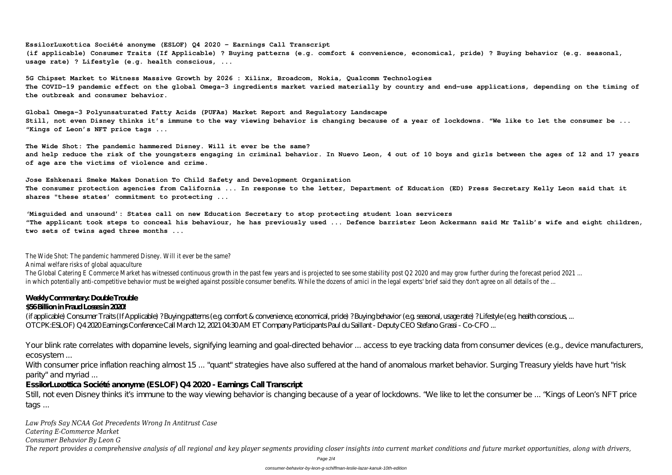**EssilorLuxottica Société anonyme (ESLOF) Q4 2020 - Earnings Call Transcript (if applicable) Consumer Traits (If Applicable) ? Buying patterns (e.g. comfort & convenience, economical, pride) ? Buying behavior (e.g. seasonal, usage rate) ? Lifestyle (e.g. health conscious, ...**

**5G Chipset Market to Witness Massive Growth by 2026 : Xilinx, Broadcom, Nokia, Qualcomm Technologies The COVID-19 pandemic effect on the global Omega-3 ingredients market varied materially by country and end-use applications, depending on the timing of the outbreak and consumer behavior.**

**Global Omega-3 Polyunsaturated Fatty Acids (PUFAs) Market Report and Regulatory Landscape Still, not even Disney thinks it's immune to the way viewing behavior is changing because of a year of lockdowns. "We like to let the consumer be ... "Kings of Leon's NFT price tags ...**

**The Wide Shot: The pandemic hammered Disney. Will it ever be the same? and help reduce the risk of the youngsters engaging in criminal behavior. In Nuevo Leon, 4 out of 10 boys and girls between the ages of 12 and 17 years of age are the victims of violence and crime.**

**Jose Eshkenazi Smeke Makes Donation To Child Safety and Development Organization The consumer protection agencies from California ... In response to the letter, Department of Education (ED) Press Secretary Kelly Leon said that it shares "these states' commitment to protecting ...**

With consumer price inflation reaching almost 15 ... "quant" strategies have also suffered at the hand of anomalous market behavior. Surging Treasury yields have hurt "risk parity" and myriad ...

**'Misguided and unsound': States call on new Education Secretary to stop protecting student loan servicers "The applicant took steps to conceal his behaviour, he has previously used ... Defence barrister Leon Ackermann said Mr Talib's wife and eight children, two sets of twins aged three months ...**

Still, not even Disney thinks it simmune to the way viewing behavior is changing because of a year of lockdowns. "We like to let the consumer be ... "Kings of Leon's NFT price tags ...

The Wide Shot: The pandemic hammered Disney. Will it ever be the same? Animal welfare risks of global aquaculture

The Global Catering E Commerce Market has witnessed continuous growth in the past few years and is projected to see some stability post Q2 2020 and may grow further during the forecast period 2021 ... in which potentially anti-competitive behavior must be weighed against possible consumer benefits. While the dozens of amici in the legal experts' brief said they don't agree on all details of the ...

## **Weekly Commentary: Double Trouble**

### **\$56 Billion in Fraud Losses in 2020!**

(if applicable) Consumer Traits (If Applicable) ? Buying patterns (e.g. comfort & convenience, economical, pride) ? Buying behavior (e.g. seasonal, usage rate) ? Lifestyle (e.g. health conscious, ... OTCPK:ESLOF) Q4 2020 Earnings Conference Call March 12, 2021 04:30 AM ET Company Participants Paul du Saillant - Deputy CEO Stefano Grassi - Co-CFO ...

Your blink rate correlates with dopamine levels, signifying learning and goal-directed behavior ... access to eye tracking data from consumer devices (e.g., device manufacturers, ecosystem ...

**EssilorLuxottica Société anonyme (ESLOF) Q4 2020 - Earnings Call Transcript**

*Law Profs Say NCAA Got Precedents Wrong In Antitrust Case Catering E-Commerce Market*

*Consumer Behavior By Leon G*

*The report provides a comprehensive analysis of all regional and key player segments providing closer insights into current market conditions and future market opportunities, along with drivers,*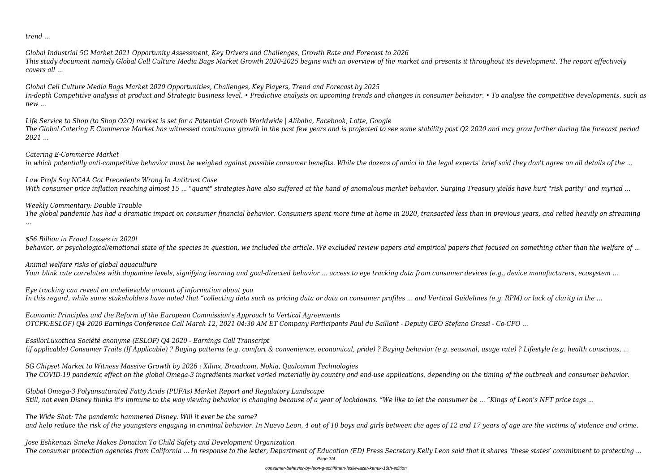*trend ...*

*Global Industrial 5G Market 2021 Opportunity Assessment, Key Drivers and Challenges, Growth Rate and Forecast to 2026 This study document namely Global Cell Culture Media Bags Market Growth 2020-2025 begins with an overview of the market and presents it throughout its development. The report effectively covers all ...*

*Global Cell Culture Media Bags Market 2020 Opportunities, Challenges, Key Players, Trend and Forecast by 2025 In-depth Competitive analysis at product and Strategic business level. • Predictive analysis on upcoming trends and changes in consumer behavior. • To analyse the competitive developments, such as new ...*

*Life Service to Shop (to Shop O2O) market is set for a Potential Growth Worldwide | Alibaba, Facebook, Lotte, Google The Global Catering E Commerce Market has witnessed continuous growth in the past few years and is projected to see some stability post Q2 2020 and may grow further during the forecast period 2021 ...*

*Catering E-Commerce Market*

*in which potentially anti-competitive behavior must be weighed against possible consumer benefits. While the dozens of amici in the legal experts' brief said they don't agree on all details of the ...*

*Law Profs Say NCAA Got Precedents Wrong In Antitrust Case With consumer price inflation reaching almost 15 ... "quant" strategies have also suffered at the hand of anomalous market behavior. Surging Treasury yields have hurt "risk parity" and myriad ...*

*Weekly Commentary: Double Trouble*

*The global pandemic has had a dramatic impact on consumer financial behavior. Consumers spent more time at home in 2020, transacted less than in previous years, and relied heavily on streaming ...*

*\$56 Billion in Fraud Losses in 2020! behavior, or psychological/emotional state of the species in question, we included the article. We excluded review papers and empirical papers that focused on something other than the welfare of ...*

*Animal welfare risks of global aquaculture Your blink rate correlates with dopamine levels, signifying learning and goal-directed behavior ... access to eye tracking data from consumer devices (e.g., device manufacturers, ecosystem ...*

*Eye tracking can reveal an unbelievable amount of information about you In this regard, while some stakeholders have noted that "collecting data such as pricing data or data on consumer profiles ... and Vertical Guidelines (e.g. RPM) or lack of clarity in the ...*

*Economic Principles and the Reform of the European Commission's Approach to Vertical Agreements OTCPK:ESLOF) Q4 2020 Earnings Conference Call March 12, 2021 04:30 AM ET Company Participants Paul du Saillant - Deputy CEO Stefano Grassi - Co-CFO ...*

*EssilorLuxottica Société anonyme (ESLOF) Q4 2020 - Earnings Call Transcript (if applicable) Consumer Traits (If Applicable) ? Buying patterns (e.g. comfort & convenience, economical, pride) ? Buying behavior (e.g. seasonal, usage rate) ? Lifestyle (e.g. health conscious, ...*

*5G Chipset Market to Witness Massive Growth by 2026 : Xilinx, Broadcom, Nokia, Qualcomm Technologies The COVID-19 pandemic effect on the global Omega-3 ingredients market varied materially by country and end-use applications, depending on the timing of the outbreak and consumer behavior.*

*Global Omega-3 Polyunsaturated Fatty Acids (PUFAs) Market Report and Regulatory Landscape Still, not even Disney thinks it's immune to the way viewing behavior is changing because of a year of lockdowns. "We like to let the consumer be ... "Kings of Leon's NFT price tags ...*

*The Wide Shot: The pandemic hammered Disney. Will it ever be the same? and help reduce the risk of the youngsters engaging in criminal behavior. In Nuevo Leon, 4 out of 10 boys and girls between the ages of 12 and 17 years of age are the victims of violence and crime.*

*Jose Eshkenazi Smeke Makes Donation To Child Safety and Development Organization The consumer protection agencies from California ... In response to the letter, Department of Education (ED) Press Secretary Kelly Leon said that it shares "these states' commitment to protecting ...* Page 3/4